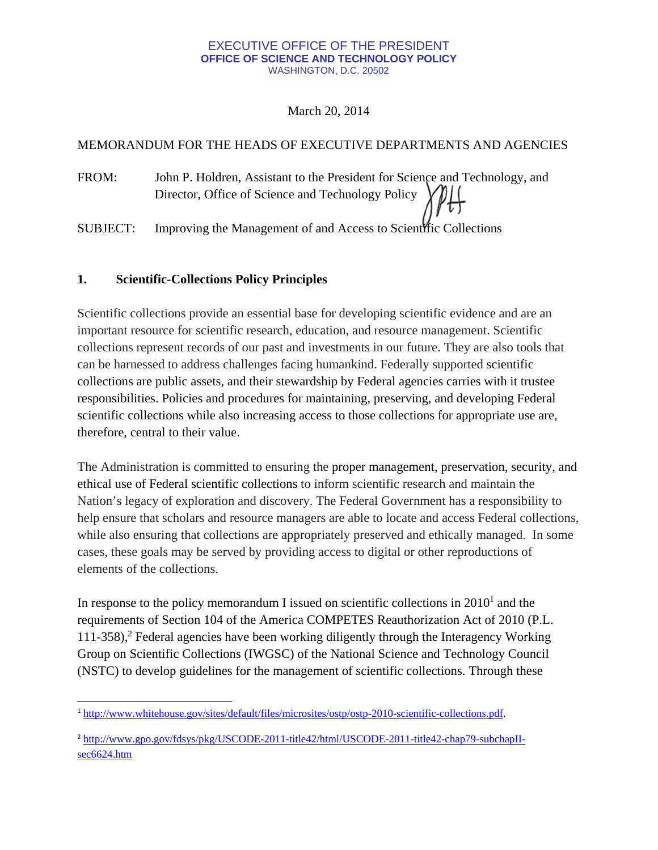### EXECUTIVE OFFICE OF THE PRESIDENT **OFFICE OF SCIENCE AND TECHNOLOGY POLICY**  WASHINGTON, D.C. 20502

March 20, 2014

## MEMORANDUM FOR THE HEADS OF EXECUTIVE DEPARTMENTS AND AGENCIES

FROM: John P. Holdren, Assistant to the President for Science and Technology, and Director, Office of Science and Technology Policy

SUBJECT: Improving the Management of and Access to Scientific Collections

## **1. Scientific-Collections Policy Principles**

Scientific collections provide an essential base for developing scientific evidence and are an important resource for scientific research, education, and resource management. Scientific collections represent records of our past and investments in our future. They are also tools that can be harnessed to address challenges facing humankind. Federally supported scientific collections are public assets, and their stewardship by Federal agencies carries with it trustee responsibilities. Policies and procedures for maintaining, preserving, and developing Federal scientific collections while also increasing access to those collections for appropriate use are, therefore, central to their value.

The Administration is committed to ensuring the proper management, preservation, security, and ethical use of Federal scientific collections to inform scientific research and maintain the Nation's legacy of exploration and discovery. The Federal Government has a responsibility to help ensure that scholars and resource managers are able to locate and access Federal collections, while also ensuring that collections are appropriately preserved and ethically managed. In some cases, these goals may be served by providing access to digital or other reproductions of elements of the collections.

In response to the policy memorandum I issued on scientific collections in  $2010<sup>1</sup>$  and the requirements of Section 104 of the America COMPETES Reauthorization Act of 2010 (P.L. 111-358),<sup>2</sup> Federal agencies have been working diligently through the Interagency Working Group on Scientific Collections (IWGSC) of the National Science and Technology Council (NSTC) to develop guidelines for the management of scientific collections. Through these

 <sup>1</sup> <http://www.whitehouse.gov/sites/default/files/microsites/ostp/ostp-2010-scientific-collections.pdf>.

<sup>&</sup>lt;sup>2</sup> <http://www.gpo.gov/fdsys/pkg/USCODE-2011-title42/html/USCODE-2011-title42-chap79-subchapII>sec6624.htm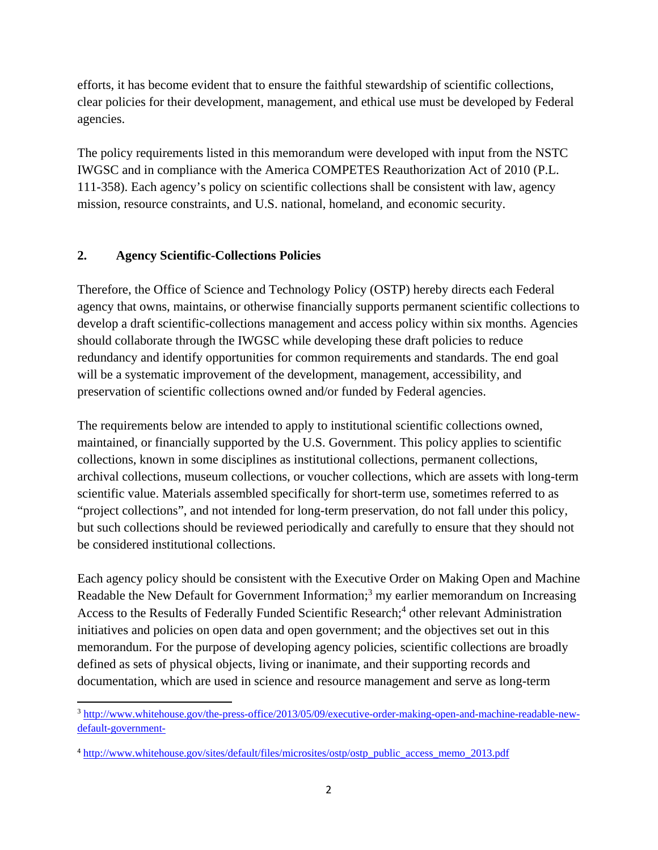efforts, it has become evident that to ensure the faithful stewardship of scientific collections, clear policies for their development, management, and ethical use must be developed by Federal agencies.

The policy requirements listed in this memorandum were developed with input from the NSTC IWGSC and in compliance with the America COMPETES Reauthorization Act of 2010 (P.L. 111-358). Each agency's policy on scientific collections shall be consistent with law, agency mission, resource constraints, and U.S. national, homeland, and economic security.

## **2. Agency Scientific-Collections Policies**

Therefore, the Office of Science and Technology Policy (OSTP) hereby directs each Federal agency that owns, maintains, or otherwise financially supports permanent scientific collections to develop a draft scientific-collections management and access policy within six months. Agencies should collaborate through the IWGSC while developing these draft policies to reduce redundancy and identify opportunities for common requirements and standards. The end goal will be a systematic improvement of the development, management, accessibility, and preservation of scientific collections owned and/or funded by Federal agencies.

The requirements below are intended to apply to institutional scientific collections owned, maintained, or financially supported by the U.S. Government. This policy applies to scientific collections, known in some disciplines as institutional collections, permanent collections, archival collections, museum collections, or voucher collections, which are assets with long-term scientific value. Materials assembled specifically for short-term use, sometimes referred to as "project collections", and not intended for long-term preservation, do not fall under this policy, but such collections should be reviewed periodically and carefully to ensure that they should not be considered institutional collections.

Each agency policy should be consistent with the Executive Order on Making Open and Machine Readable the New Default for Government Information;<sup>3</sup> my earlier memorandum on Increasing Access to the Results of Federally Funded Scientific Research;<sup>4</sup> other relevant Administration initiatives and policies on open data and open government; and the objectives set out in this memorandum. For the purpose of developing agency policies, scientific collections are broadly defined as sets of physical objects, living or inanimate, and their supporting records and documentation, which are used in science and resource management and serve as long-term

<sup>3</sup> <http://www.whitehouse.gov/the-press-office/2013/05/09/executive-order-making-open-and-machine-readable-new>default-government-

<sup>4</sup> [http://www.whitehouse.gov/sites/default/files/microsites/ostp/ostp\\_public\\_access\\_memo\\_2013.pdf](http://www.whitehouse.gov/sites/default/files/microsites/ostp/ostp_public_access_memo_2013.pdf)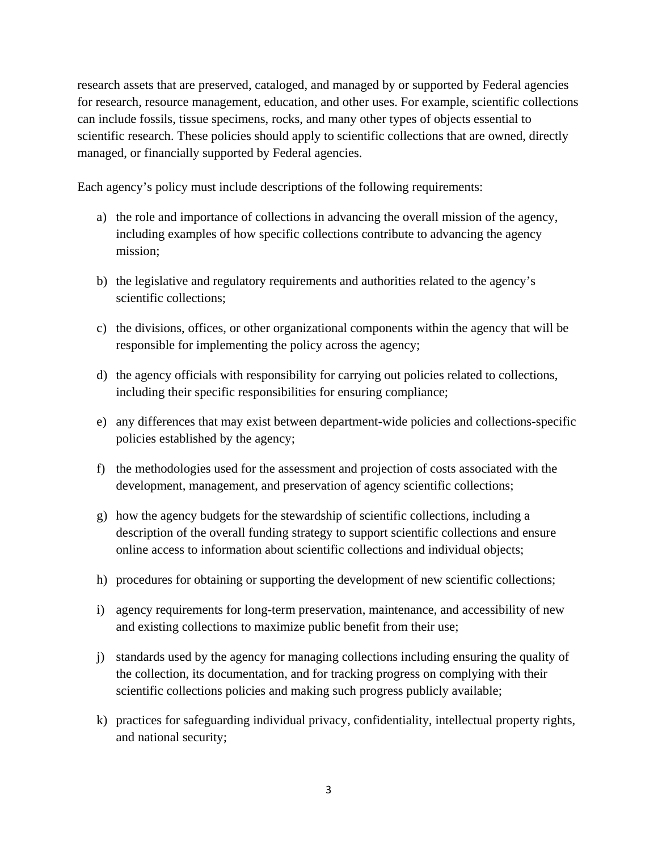research assets that are preserved, cataloged, and managed by or supported by Federal agencies for research, resource management, education, and other uses. For example, scientific collections can include fossils, tissue specimens, rocks, and many other types of objects essential to scientific research. These policies should apply to scientific collections that are owned, directly managed, or financially supported by Federal agencies.

Each agency's policy must include descriptions of the following requirements:

- a) the role and importance of collections in advancing the overall mission of the agency, including examples of how specific collections contribute to advancing the agency mission;
- b) the legislative and regulatory requirements and authorities related to the agency's scientific collections;
- c) the divisions, offices, or other organizational components within the agency that will be responsible for implementing the policy across the agency;
- d) the agency officials with responsibility for carrying out policies related to collections, including their specific responsibilities for ensuring compliance;
- e) any differences that may exist between department-wide policies and collections-specific policies established by the agency;
- f) the methodologies used for the assessment and projection of costs associated with the development, management, and preservation of agency scientific collections;
- g) how the agency budgets for the stewardship of scientific collections, including a description of the overall funding strategy to support scientific collections and ensure online access to information about scientific collections and individual objects;
- h) procedures for obtaining or supporting the development of new scientific collections;
- i) agency requirements for long-term preservation, maintenance, and accessibility of new and existing collections to maximize public benefit from their use;
- j) standards used by the agency for managing collections including ensuring the quality of the collection, its documentation, and for tracking progress on complying with their scientific collections policies and making such progress publicly available;
- k) practices for safeguarding individual privacy, confidentiality, intellectual property rights, and national security;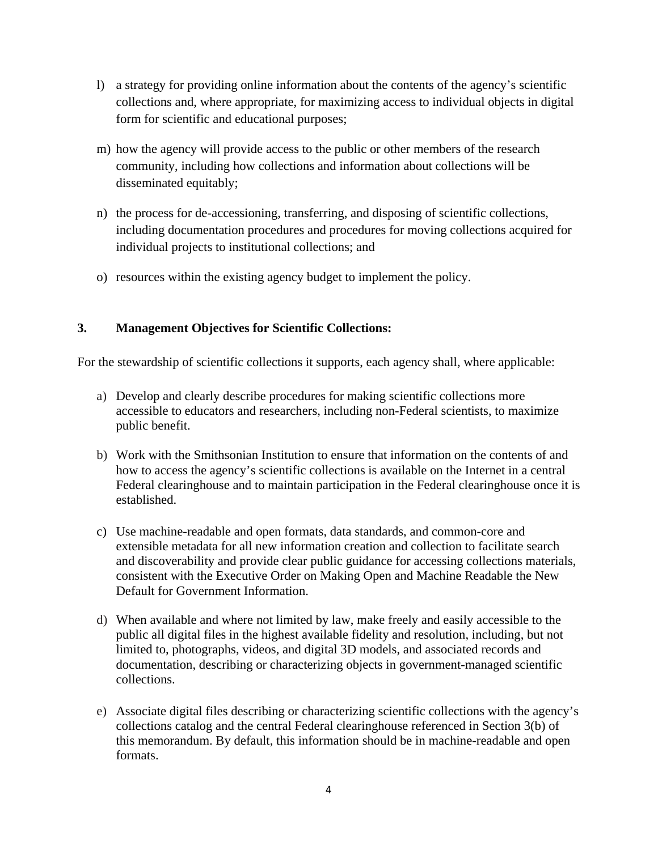- l) a strategy for providing online information about the contents of the agency's scientific collections and, where appropriate, for maximizing access to individual objects in digital form for scientific and educational purposes;
- m) how the agency will provide access to the public or other members of the research community, including how collections and information about collections will be disseminated equitably;
- n) the process for de-accessioning, transferring, and disposing of scientific collections, including documentation procedures and procedures for moving collections acquired for individual projects to institutional collections; and
- o) resources within the existing agency budget to implement the policy.

# **3. Management Objectives for Scientific Collections:**

For the stewardship of scientific collections it supports, each agency shall, where applicable:

- a) Develop and clearly describe procedures for making scientific collections more accessible to educators and researchers, including non-Federal scientists, to maximize public benefit.
- b) Work with the Smithsonian Institution to ensure that information on the contents of and how to access the agency's scientific collections is available on the Internet in a central Federal clearinghouse and to maintain participation in the Federal clearinghouse once it is established.
- c) Use machine-readable and open formats, data standards, and common-core and extensible metadata for all new information creation and collection to facilitate search and discoverability and provide clear public guidance for accessing collections materials, consistent with the Executive Order on Making Open and Machine Readable the New Default for Government Information.
- d) When available and where not limited by law, make freely and easily accessible to the public all digital files in the highest available fidelity and resolution, including, but not limited to, photographs, videos, and digital 3D models, and associated records and documentation, describing or characterizing objects in government-managed scientific collections.
- e) Associate digital files describing or characterizing scientific collections with the agency's collections catalog and the central Federal clearinghouse referenced in Section 3(b) of this memorandum. By default, this information should be in machine-readable and open formats.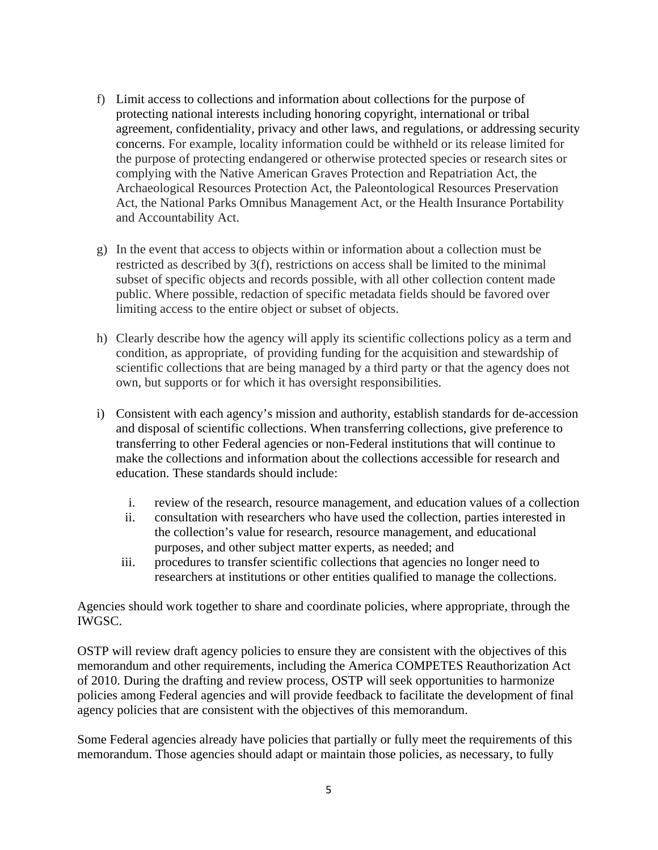- f) Limit access to collections and information about collections for the purpose of protecting national interests including honoring copyright, international or tribal agreement, confidentiality, privacy and other laws, and regulations, or addressing security concerns. For example, locality information could be withheld or its release limited for the purpose of protecting endangered or otherwise protected species or research sites or complying with the Native American Graves Protection and Repatriation Act, the Archaeological Resources Protection Act, the Paleontological Resources Preservation Act, the National Parks Omnibus Management Act, or the Health Insurance Portability and Accountability Act.
- g) In the event that access to objects within or information about a collection must be restricted as described by 3(f), restrictions on access shall be limited to the minimal subset of specific objects and records possible, with all other collection content made public. Where possible, redaction of specific metadata fields should be favored over limiting access to the entire object or subset of objects.
- h) Clearly describe how the agency will apply its scientific collections policy as a term and condition, as appropriate, of providing funding for the acquisition and stewardship of scientific collections that are being managed by a third party or that the agency does not own, but supports or for which it has oversight responsibilities.
- i) Consistent with each agency's mission and authority, establish standards for de-accession and disposal of scientific collections. When transferring collections, give preference to transferring to other Federal agencies or non-Federal institutions that will continue to make the collections and information about the collections accessible for research and education. These standards should include:
	- i. review of the research, resource management, and education values of a collection
	- ii. consultation with researchers who have used the collection, parties interested in the collection's value for research, resource management, and educational purposes, and other subject matter experts, as needed; and
	- iii. procedures to transfer scientific collections that agencies no longer need to researchers at institutions or other entities qualified to manage the collections.

Agencies should work together to share and coordinate policies, where appropriate, through the IWGSC.

OSTP will review draft agency policies to ensure they are consistent with the objectives of this memorandum and other requirements, including the America COMPETES Reauthorization Act of 2010. During the drafting and review process, OSTP will seek opportunities to harmonize policies among Federal agencies and will provide feedback to facilitate the development of final agency policies that are consistent with the objectives of this memorandum.

Some Federal agencies already have policies that partially or fully meet the requirements of this memorandum. Those agencies should adapt or maintain those policies, as necessary, to fully